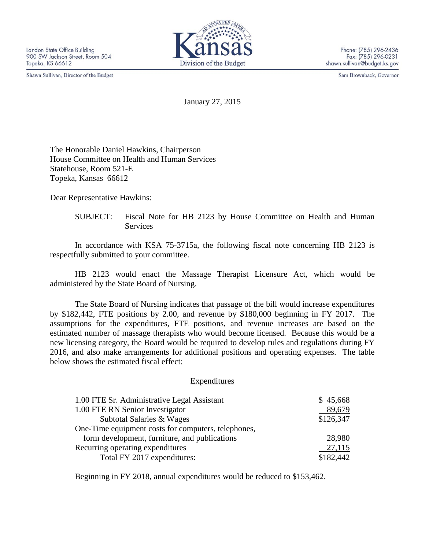Shawn Sullivan, Director of the Budget



Sam Brownback, Governor

January 27, 2015

The Honorable Daniel Hawkins, Chairperson House Committee on Health and Human Services Statehouse, Room 521-E Topeka, Kansas 66612

Dear Representative Hawkins:

SUBJECT: Fiscal Note for HB 2123 by House Committee on Health and Human **Services** 

In accordance with KSA 75-3715a, the following fiscal note concerning HB 2123 is respectfully submitted to your committee.

HB 2123 would enact the Massage Therapist Licensure Act, which would be administered by the State Board of Nursing.

The State Board of Nursing indicates that passage of the bill would increase expenditures by \$182,442, FTE positions by 2.00, and revenue by \$180,000 beginning in FY 2017. The assumptions for the expenditures, FTE positions, and revenue increases are based on the estimated number of massage therapists who would become licensed. Because this would be a new licensing category, the Board would be required to develop rules and regulations during FY 2016, and also make arrangements for additional positions and operating expenses. The table below shows the estimated fiscal effect:

## **Expenditures**

| 1.00 FTE Sr. Administrative Legal Assistant         | \$45,668  |
|-----------------------------------------------------|-----------|
| 1.00 FTE RN Senior Investigator                     | 89,679    |
| Subtotal Salaries & Wages                           | \$126,347 |
| One-Time equipment costs for computers, telephones, |           |
| form development, furniture, and publications       | 28,980    |
| Recurring operating expenditures                    | 27,115    |
| Total FY 2017 expenditures:                         | \$182,442 |

Beginning in FY 2018, annual expenditures would be reduced to \$153,462.